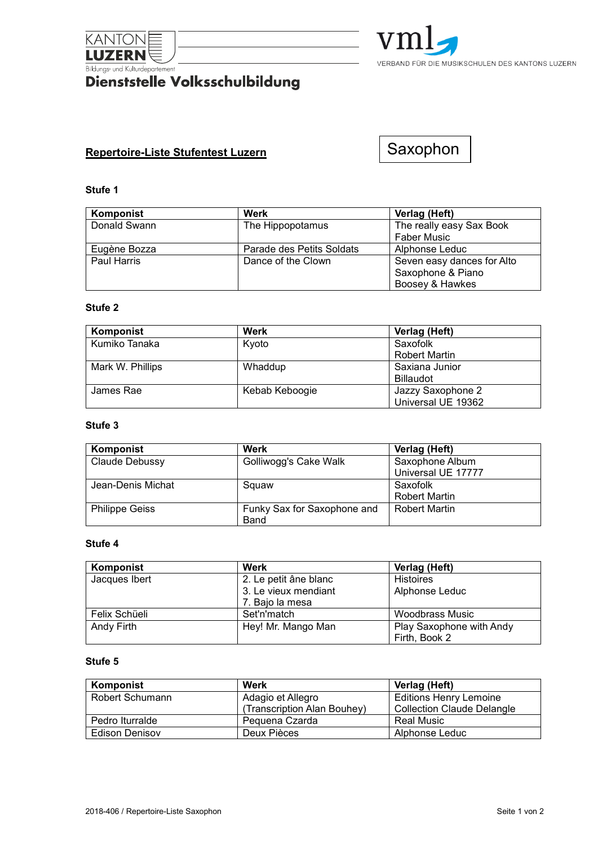

# **EUROPERTY**<br>Bildungs- und Kulturdepartement<br>**Dienststelle Volksschulbildung**



# **Repertoire-Liste Stufentest Luzern**

Saxophon

#### **Stufe 1**

| Komponist    | Werk                      | Verlag (Heft)              |
|--------------|---------------------------|----------------------------|
| Donald Swann | The Hippopotamus          | The really easy Sax Book   |
|              |                           | <b>Faber Music</b>         |
| Eugène Bozza | Parade des Petits Soldats | Alphonse Leduc             |
| Paul Harris  | Dance of the Clown        | Seven easy dances for Alto |
|              |                           | Saxophone & Piano          |
|              |                           | Boosey & Hawkes            |

## **Stufe 2**

| Komponist        | Werk           | Verlag (Heft)        |
|------------------|----------------|----------------------|
| Kumiko Tanaka    | Kvoto          | Saxofolk             |
|                  |                | <b>Robert Martin</b> |
| Mark W. Phillips | Whaddup        | Saxiana Junior       |
|                  |                | <b>Billaudot</b>     |
| James Rae        | Kebab Keboogie | Jazzy Saxophone 2    |
|                  |                | Universal UE 19362   |

#### **Stufe 3**

| Komponist             | Werk                        | Verlag (Heft)        |
|-----------------------|-----------------------------|----------------------|
| Claude Debussy        | Golliwogg's Cake Walk       | Saxophone Album      |
|                       |                             | Universal UE 17777   |
| Jean-Denis Michat     | Squaw                       | Saxofolk             |
|                       |                             | <b>Robert Martin</b> |
| <b>Philippe Geiss</b> | Funky Sax for Saxophone and | <b>Robert Martin</b> |
|                       | Band                        |                      |

## **Stufe 4**

| Komponist     | Werk                  | Verlag (Heft)            |
|---------------|-----------------------|--------------------------|
| Jacques Ibert | 2. Le petit âne blanc | <b>Histoires</b>         |
|               | 3. Le vieux mendiant  | Alphonse Leduc           |
|               | 7. Bajo la mesa       |                          |
| Felix Schüeli | Set'n'match           | Woodbrass Music          |
| Andy Firth    | Hey! Mr. Mango Man    | Play Saxophone with Andy |
|               |                       | Firth, Book 2            |

#### **Stufe 5**

| Komponist       | Werk                        | Verlag (Heft)                     |
|-----------------|-----------------------------|-----------------------------------|
| Robert Schumann | Adagio et Allegro           | <b>Editions Henry Lemoine</b>     |
|                 | (Transcription Alan Bouhey) | <b>Collection Claude Delangle</b> |
| Pedro Iturralde | Peguena Czarda              | Real Music                        |
| Edison Denisov  | Deux Pièces                 | Alphonse Leduc                    |